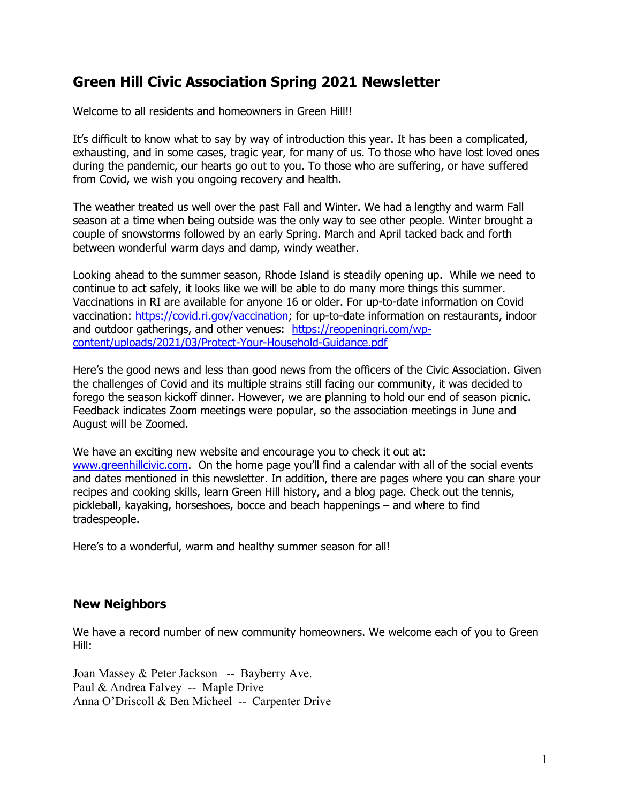# Green Hill Civic Association Spring 2021 Newsletter

Welcome to all residents and homeowners in Green Hill!!

It's difficult to know what to say by way of introduction this year. It has been a complicated, exhausting, and in some cases, tragic year, for many of us. To those who have lost loved ones during the pandemic, our hearts go out to you. To those who are suffering, or have suffered from Covid, we wish you ongoing recovery and health.

The weather treated us well over the past Fall and Winter. We had a lengthy and warm Fall season at a time when being outside was the only way to see other people. Winter brought a couple of snowstorms followed by an early Spring. March and April tacked back and forth between wonderful warm days and damp, windy weather.

Looking ahead to the summer season, Rhode Island is steadily opening up. While we need to continue to act safely, it looks like we will be able to do many more things this summer. Vaccinations in RI are available for anyone 16 or older. For up-to-date information on Covid vaccination: https://covid.ri.gov/vaccination; for up-to-date information on restaurants, indoor and outdoor gatherings, and other venues: https://reopeningri.com/wpcontent/uploads/2021/03/Protect-Your-Household-Guidance.pdf

Here's the good news and less than good news from the officers of the Civic Association. Given the challenges of Covid and its multiple strains still facing our community, it was decided to forego the season kickoff dinner. However, we are planning to hold our end of season picnic. Feedback indicates Zoom meetings were popular, so the association meetings in June and August will be Zoomed.

We have an exciting new website and encourage you to check it out at: www.greenhillcivic.com. On the home page you'll find a calendar with all of the social events and dates mentioned in this newsletter. In addition, there are pages where you can share your recipes and cooking skills, learn Green Hill history, and a blog page. Check out the tennis, pickleball, kayaking, horseshoes, bocce and beach happenings – and where to find tradespeople.

Here's to a wonderful, warm and healthy summer season for all!

## New Neighbors

We have a record number of new community homeowners. We welcome each of you to Green Hill:

Joan Massey & Peter Jackson -- Bayberry Ave. Paul & Andrea Falvey -- Maple Drive Anna O'Driscoll & Ben Micheel -- Carpenter Drive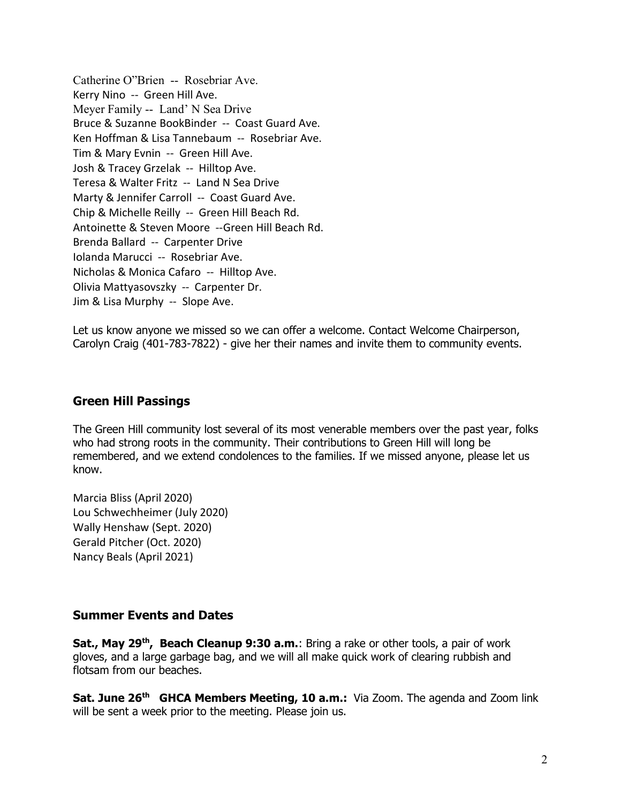Catherine O"Brien -- Rosebriar Ave. Kerry Nino -- Green Hill Ave. Meyer Family -- Land' N Sea Drive Bruce & Suzanne BookBinder -- Coast Guard Ave. Ken Hoffman & Lisa Tannebaum -- Rosebriar Ave. Tim & Mary Evnin -- Green Hill Ave. Josh & Tracey Grzelak -- Hilltop Ave. Teresa & Walter Fritz -- Land N Sea Drive Marty & Jennifer Carroll -- Coast Guard Ave. Chip & Michelle Reilly -- Green Hill Beach Rd. Antoinette & Steven Moore --Green Hill Beach Rd. Brenda Ballard -- Carpenter Drive Iolanda Marucci -- Rosebriar Ave. Nicholas & Monica Cafaro -- Hilltop Ave. Olivia Mattyasovszky -- Carpenter Dr. Jim & Lisa Murphy -- Slope Ave.

Let us know anyone we missed so we can offer a welcome. Contact Welcome Chairperson, Carolyn Craig (401-783-7822) - give her their names and invite them to community events.

### Green Hill Passings

The Green Hill community lost several of its most venerable members over the past year, folks who had strong roots in the community. Their contributions to Green Hill will long be remembered, and we extend condolences to the families. If we missed anyone, please let us know.

Marcia Bliss (April 2020) Lou Schwechheimer (July 2020) Wally Henshaw (Sept. 2020) Gerald Pitcher (Oct. 2020) Nancy Beals (April 2021)

#### Summer Events and Dates

Sat., May 29<sup>th</sup>, Beach Cleanup 9:30 a.m.: Bring a rake or other tools, a pair of work gloves, and a large garbage bag, and we will all make quick work of clearing rubbish and flotsam from our beaches.

Sat. June 26<sup>th</sup> GHCA Members Meeting, 10 a.m.: Via Zoom. The agenda and Zoom link will be sent a week prior to the meeting. Please join us.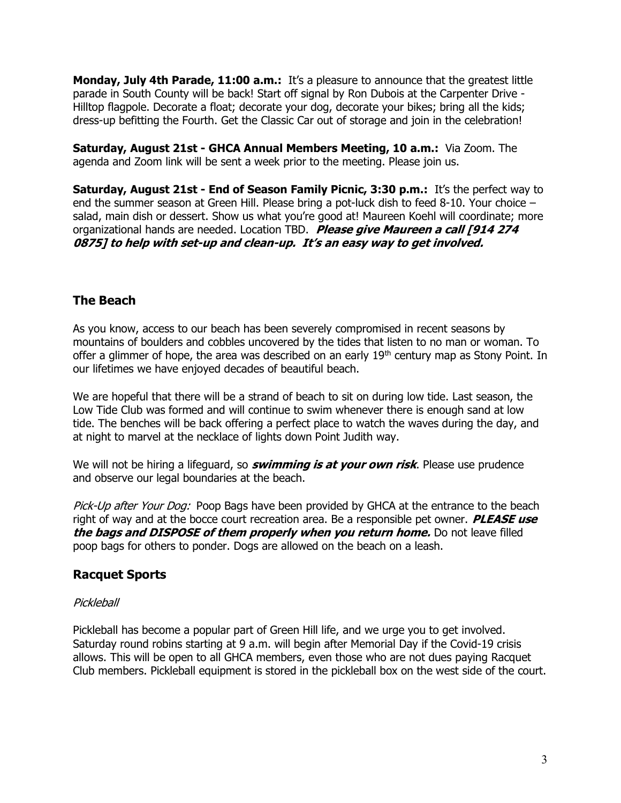**Monday, July 4th Parade, 11:00 a.m.:** It's a pleasure to announce that the greatest little parade in South County will be back! Start off signal by Ron Dubois at the Carpenter Drive - Hilltop flagpole. Decorate a float; decorate your dog, decorate your bikes; bring all the kids; dress-up befitting the Fourth. Get the Classic Car out of storage and join in the celebration!

Saturday, August 21st - GHCA Annual Members Meeting, 10 a.m.: Via Zoom. The agenda and Zoom link will be sent a week prior to the meeting. Please join us.

Saturday, August 21st - End of Season Family Picnic, 3:30 p.m.: It's the perfect way to end the summer season at Green Hill. Please bring a pot-luck dish to feed 8-10. Your choice – salad, main dish or dessert. Show us what you're good at! Maureen Koehl will coordinate; more organizational hands are needed. Location TBD. Please give Maureen a call [914 274 0875] to help with set-up and clean-up. It's an easy way to get involved.

## The Beach

As you know, access to our beach has been severely compromised in recent seasons by mountains of boulders and cobbles uncovered by the tides that listen to no man or woman. To offer a glimmer of hope, the area was described on an early  $19<sup>th</sup>$  century map as Stony Point. In our lifetimes we have enjoyed decades of beautiful beach.

We are hopeful that there will be a strand of beach to sit on during low tide. Last season, the Low Tide Club was formed and will continue to swim whenever there is enough sand at low tide. The benches will be back offering a perfect place to watch the waves during the day, and at night to marvel at the necklace of lights down Point Judith way.

We will not be hiring a lifeguard, so *swimming is at your own risk*. Please use prudence and observe our legal boundaries at the beach.

Pick-Up after Your Dog: Poop Bags have been provided by GHCA at the entrance to the beach right of way and at the bocce court recreation area. Be a responsible pet owner. **PLEASE use** the bags and DISPOSE of them properly when you return home. Do not leave filled poop bags for others to ponder. Dogs are allowed on the beach on a leash.

## Racquet Sports

## **Pickleball**

Pickleball has become a popular part of Green Hill life, and we urge you to get involved. Saturday round robins starting at 9 a.m. will begin after Memorial Day if the Covid-19 crisis allows. This will be open to all GHCA members, even those who are not dues paying Racquet Club members. Pickleball equipment is stored in the pickleball box on the west side of the court.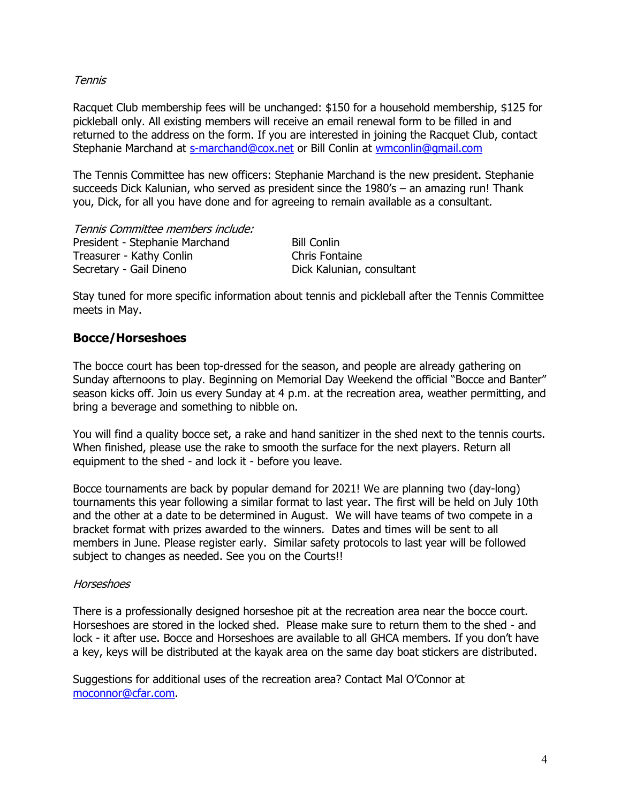#### **Tennis**

Racquet Club membership fees will be unchanged: \$150 for a household membership, \$125 for pickleball only. All existing members will receive an email renewal form to be filled in and returned to the address on the form. If you are interested in joining the Racquet Club, contact Stephanie Marchand at s-marchand@cox.net or Bill Conlin at wmconlin@gmail.com

The Tennis Committee has new officers: Stephanie Marchand is the new president. Stephanie succeeds Dick Kalunian, who served as president since the 1980's – an amazing run! Thank you, Dick, for all you have done and for agreeing to remain available as a consultant.

Tennis Committee members include: President - Stephanie Marchand Bill Conlin Treasurer - Kathy Conlin Chris Fontaine Secretary - Gail Dineno **Dick Kalunian, consultant** 

Stay tuned for more specific information about tennis and pickleball after the Tennis Committee meets in May.

#### Bocce/Horseshoes

The bocce court has been top-dressed for the season, and people are already gathering on Sunday afternoons to play. Beginning on Memorial Day Weekend the official "Bocce and Banter" season kicks off. Join us every Sunday at 4 p.m. at the recreation area, weather permitting, and bring a beverage and something to nibble on.

You will find a quality bocce set, a rake and hand sanitizer in the shed next to the tennis courts. When finished, please use the rake to smooth the surface for the next players. Return all equipment to the shed - and lock it - before you leave.

Bocce tournaments are back by popular demand for 2021! We are planning two (day-long) tournaments this year following a similar format to last year. The first will be held on July 10th and the other at a date to be determined in August. We will have teams of two compete in a bracket format with prizes awarded to the winners. Dates and times will be sent to all members in June. Please register early. Similar safety protocols to last year will be followed subject to changes as needed. See you on the Courts!!

#### Horseshoes

There is a professionally designed horseshoe pit at the recreation area near the bocce court. Horseshoes are stored in the locked shed. Please make sure to return them to the shed - and lock - it after use. Bocce and Horseshoes are available to all GHCA members. If you don't have a key, keys will be distributed at the kayak area on the same day boat stickers are distributed.

Suggestions for additional uses of the recreation area? Contact Mal O'Connor at moconnor@cfar.com.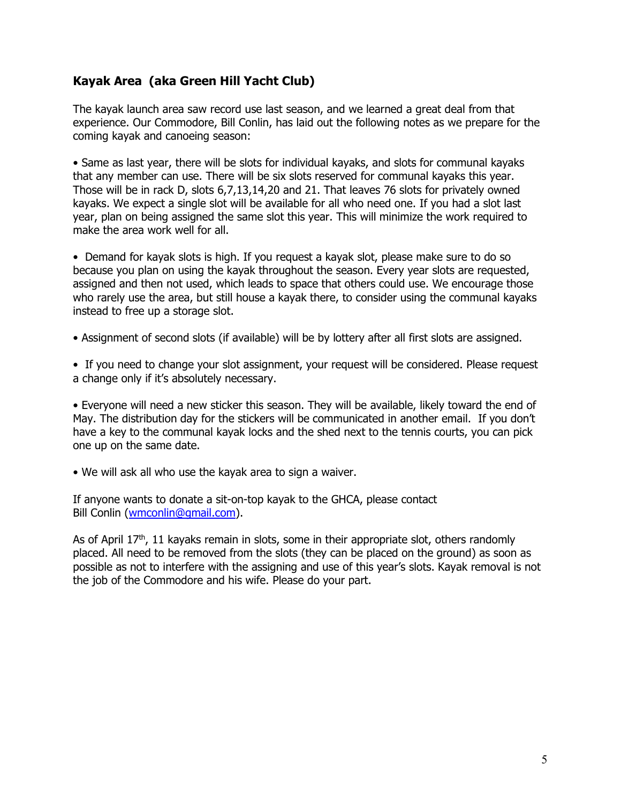## Kayak Area (aka Green Hill Yacht Club)

The kayak launch area saw record use last season, and we learned a great deal from that experience. Our Commodore, Bill Conlin, has laid out the following notes as we prepare for the coming kayak and canoeing season:

• Same as last year, there will be slots for individual kayaks, and slots for communal kayaks that any member can use. There will be six slots reserved for communal kayaks this year. Those will be in rack D, slots 6,7,13,14,20 and 21. That leaves 76 slots for privately owned kayaks. We expect a single slot will be available for all who need one. If you had a slot last year, plan on being assigned the same slot this year. This will minimize the work required to make the area work well for all.

• Demand for kayak slots is high. If you request a kayak slot, please make sure to do so because you plan on using the kayak throughout the season. Every year slots are requested, assigned and then not used, which leads to space that others could use. We encourage those who rarely use the area, but still house a kayak there, to consider using the communal kayaks instead to free up a storage slot.

• Assignment of second slots (if available) will be by lottery after all first slots are assigned.

• If you need to change your slot assignment, your request will be considered. Please request a change only if it's absolutely necessary.

• Everyone will need a new sticker this season. They will be available, likely toward the end of May. The distribution day for the stickers will be communicated in another email. If you don't have a key to the communal kayak locks and the shed next to the tennis courts, you can pick one up on the same date.

• We will ask all who use the kayak area to sign a waiver.

If anyone wants to donate a sit-on-top kayak to the GHCA, please contact Bill Conlin (wmconlin@gmail.com).

As of April  $17<sup>th</sup>$ , 11 kayaks remain in slots, some in their appropriate slot, others randomly placed. All need to be removed from the slots (they can be placed on the ground) as soon as possible as not to interfere with the assigning and use of this year's slots. Kayak removal is not the job of the Commodore and his wife. Please do your part.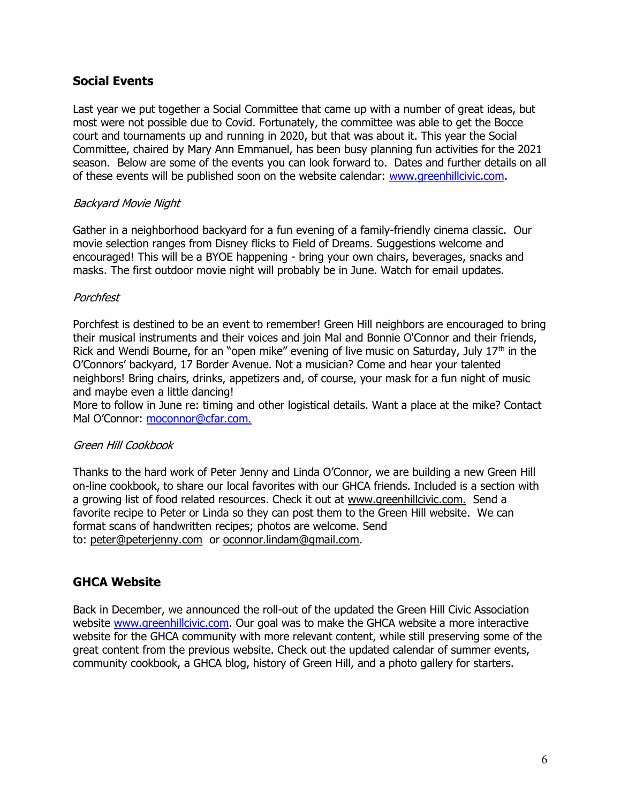## Social Events

Last year we put together a Social Committee that came up with a number of great ideas, but most were not possible due to Covid. Fortunately, the committee was able to get the Bocce court and tournaments up and running in 2020, but that was about it. This year the Social Committee, chaired by Mary Ann Emmanuel, has been busy planning fun activities for the 2021 season. Below are some of the events you can look forward to. Dates and further details on all of these events will be published soon on the website calendar: www.greenhillcivic.com.

#### Backyard Movie Night

Gather in a neighborhood backyard for a fun evening of a family-friendly cinema classic. Our movie selection ranges from Disney flicks to Field of Dreams. Suggestions welcome and encouraged! This will be a BYOE happening - bring your own chairs, beverages, snacks and masks. The first outdoor movie night will probably be in June. Watch for email updates.

#### Porchfest

Porchfest is destined to be an event to remember! Green Hill neighbors are encouraged to bring their musical instruments and their voices and join Mal and Bonnie O'Connor and their friends, Rick and Wendi Bourne, for an "open mike" evening of live music on Saturday, July  $17<sup>th</sup>$  in the O'Connors' backyard, 17 Border Avenue. Not a musician? Come and hear your talented neighbors! Bring chairs, drinks, appetizers and, of course, your mask for a fun night of music and maybe even a little dancing!

More to follow in June re: timing and other logistical details. Want a place at the mike? Contact Mal O'Connor: moconnor@cfar.com.

## Green Hill Cookbook

Thanks to the hard work of Peter Jenny and Linda O'Connor, we are building a new Green Hill on-line cookbook, to share our local favorites with our GHCA friends. Included is a section with a growing list of food related resources. Check it out at www.greenhillcivic.com. Send a favorite recipe to Peter or Linda so they can post them to the Green Hill website. We can format scans of handwritten recipes; photos are welcome. Send to: peter@peterjenny.com or oconnor.lindam@gmail.com.

## GHCA Website

Back in December, we announced the roll-out of the updated the Green Hill Civic Association website www.greenhillcivic.com. Our goal was to make the GHCA website a more interactive website for the GHCA community with more relevant content, while still preserving some of the great content from the previous website. Check out the updated calendar of summer events, community cookbook, a GHCA blog, history of Green Hill, and a photo gallery for starters.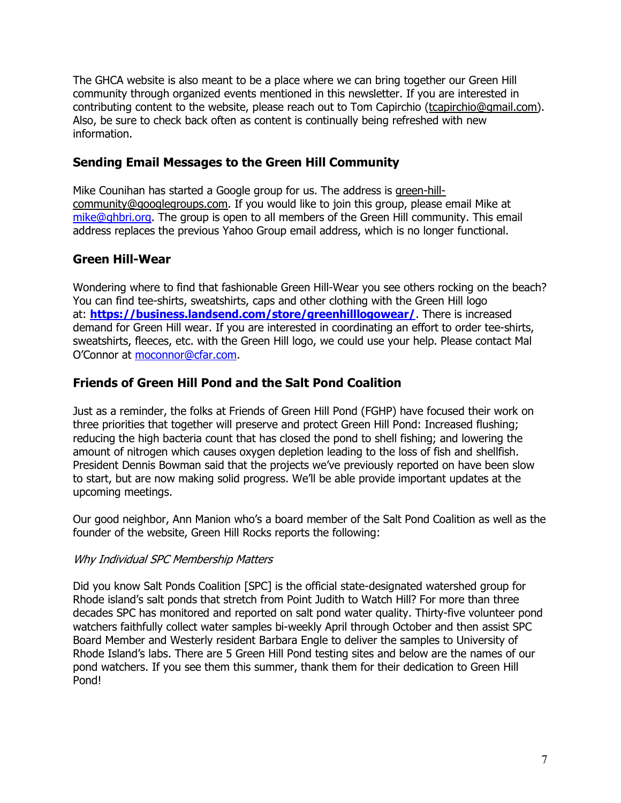The GHCA website is also meant to be a place where we can bring together our Green Hill community through organized events mentioned in this newsletter. If you are interested in contributing content to the website, please reach out to Tom Capirchio (tcapirchio@gmail.com). Also, be sure to check back often as content is continually being refreshed with new information.

## Sending Email Messages to the Green Hill Community

Mike Counihan has started a Google group for us. The address is green-hillcommunity@googlegroups.com. If you would like to join this group, please email Mike at mike@ghbri.org. The group is open to all members of the Green Hill community. This email address replaces the previous Yahoo Group email address, which is no longer functional.

## Green Hill-Wear

Wondering where to find that fashionable Green Hill-Wear you see others rocking on the beach? You can find tee-shirts, sweatshirts, caps and other clothing with the Green Hill logo at: https://business.landsend.com/store/greenhilllogowear/. There is increased demand for Green Hill wear. If you are interested in coordinating an effort to order tee-shirts, sweatshirts, fleeces, etc. with the Green Hill logo, we could use your help. Please contact Mal O'Connor at moconnor@cfar.com.

## Friends of Green Hill Pond and the Salt Pond Coalition

Just as a reminder, the folks at Friends of Green Hill Pond (FGHP) have focused their work on three priorities that together will preserve and protect Green Hill Pond: Increased flushing; reducing the high bacteria count that has closed the pond to shell fishing; and lowering the amount of nitrogen which causes oxygen depletion leading to the loss of fish and shellfish. President Dennis Bowman said that the projects we've previously reported on have been slow to start, but are now making solid progress. We'll be able provide important updates at the upcoming meetings.

Our good neighbor, Ann Manion who's a board member of the Salt Pond Coalition as well as the founder of the website, Green Hill Rocks reports the following:

## Why Individual SPC Membership Matters

Did you know Salt Ponds Coalition [SPC] is the official state-designated watershed group for Rhode island's salt ponds that stretch from Point Judith to Watch Hill? For more than three decades SPC has monitored and reported on salt pond water quality. Thirty-five volunteer pond watchers faithfully collect water samples bi-weekly April through October and then assist SPC Board Member and Westerly resident Barbara Engle to deliver the samples to University of Rhode Island's labs. There are 5 Green Hill Pond testing sites and below are the names of our pond watchers. If you see them this summer, thank them for their dedication to Green Hill Pond!